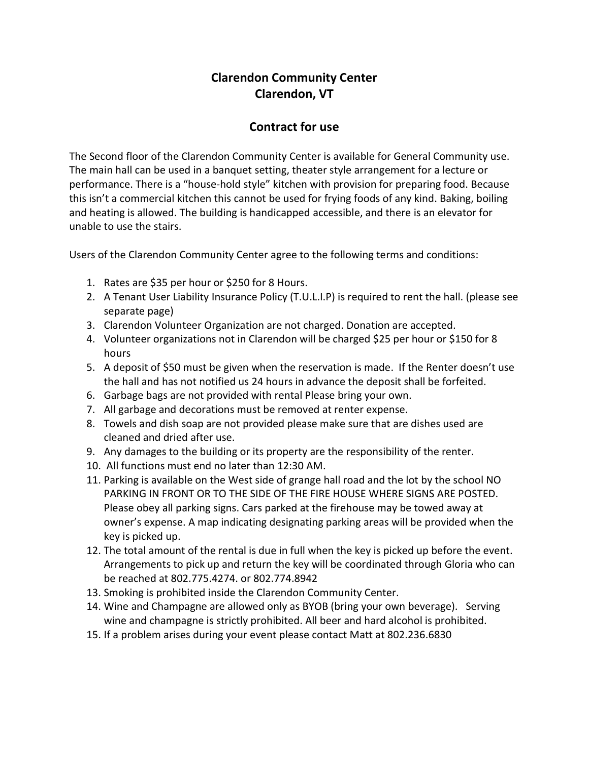## Clarendon Community Center Clarendon, VT

## Contract for use

The Second floor of the Clarendon Community Center is available for General Community use. The main hall can be used in a banquet setting, theater style arrangement for a lecture or performance. There is a "house-hold style" kitchen with provision for preparing food. Because this isn't a commercial kitchen this cannot be used for frying foods of any kind. Baking, boiling and heating is allowed. The building is handicapped accessible, and there is an elevator for unable to use the stairs.

Users of the Clarendon Community Center agree to the following terms and conditions:

- 1. Rates are \$35 per hour or \$250 for 8 Hours.
- 2. A Tenant User Liability Insurance Policy (T.U.L.I.P) is required to rent the hall. (please see separate page)
- 3. Clarendon Volunteer Organization are not charged. Donation are accepted.
- 4. Volunteer organizations not in Clarendon will be charged \$25 per hour or \$150 for 8 hours
- 5. A deposit of \$50 must be given when the reservation is made. If the Renter doesn't use the hall and has not notified us 24 hours in advance the deposit shall be forfeited.
- 6. Garbage bags are not provided with rental Please bring your own.
- 7. All garbage and decorations must be removed at renter expense.
- 8. Towels and dish soap are not provided please make sure that are dishes used are cleaned and dried after use.
- 9. Any damages to the building or its property are the responsibility of the renter.
- 10. All functions must end no later than 12:30 AM.
- 11. Parking is available on the West side of grange hall road and the lot by the school NO PARKING IN FRONT OR TO THE SIDE OF THE FIRE HOUSE WHERE SIGNS ARE POSTED. Please obey all parking signs. Cars parked at the firehouse may be towed away at owner's expense. A map indicating designating parking areas will be provided when the key is picked up.
- 12. The total amount of the rental is due in full when the key is picked up before the event. Arrangements to pick up and return the key will be coordinated through Gloria who can be reached at 802.775.4274. or 802.774.8942
- 13. Smoking is prohibited inside the Clarendon Community Center.
- 14. Wine and Champagne are allowed only as BYOB (bring your own beverage). Serving wine and champagne is strictly prohibited. All beer and hard alcohol is prohibited.
- 15. If a problem arises during your event please contact Matt at 802.236.6830